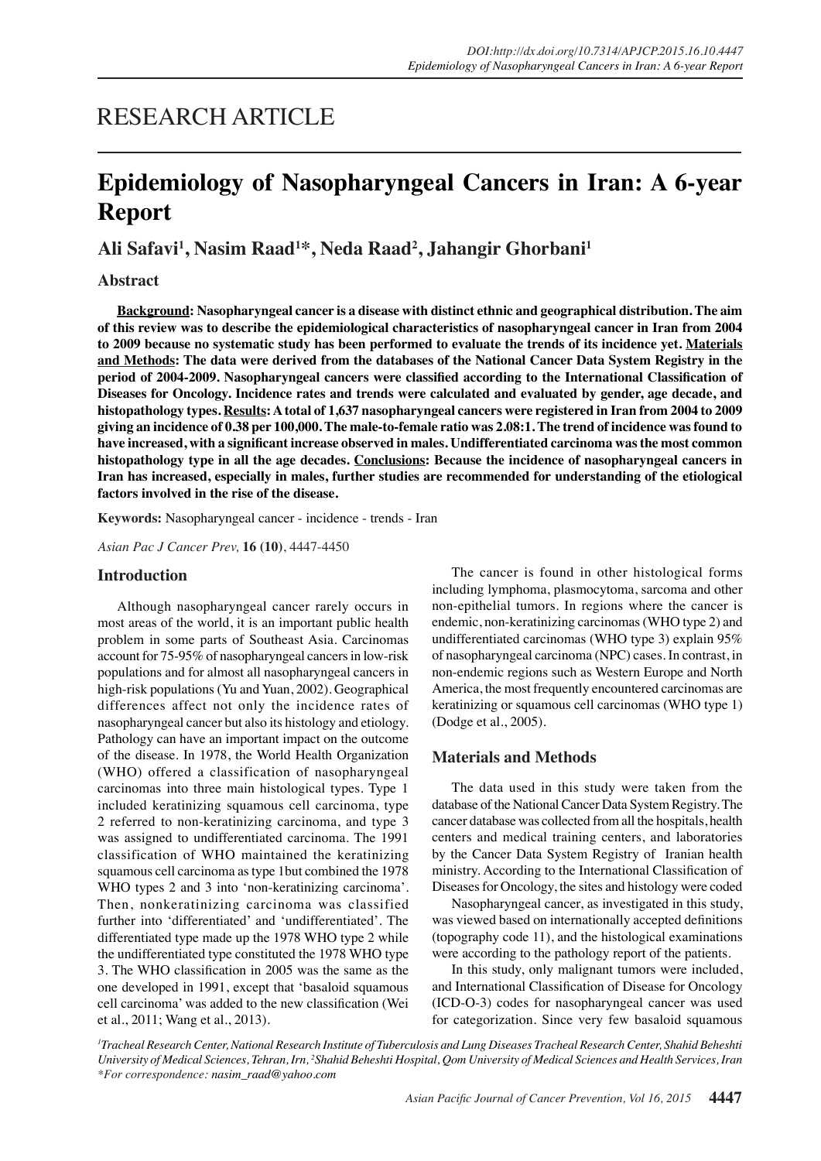# RESEARCH ARTICLE

# **Epidemiology of Nasopharyngeal Cancers in Iran: A 6-year Report**

**Ali Safavi1 , Nasim Raad1 \*, Neda Raad2 , Jahangir Ghorbani1**

# **Abstract**

**Background: Nasopharyngeal cancer is a disease with distinct ethnic and geographical distribution. The aim of this review was to describe the epidemiological characteristics of nasopharyngeal cancer in Iran from 2004 to 2009 because no systematic study has been performed to evaluate the trends of its incidence yet. Materials and Methods: The data were derived from the databases of the National Cancer Data System Registry in the period of 2004-2009. Nasopharyngeal cancers were classified according to the International Classification of Diseases for Oncology. Incidence rates and trends were calculated and evaluated by gender, age decade, and histopathology types. Results: A total of 1,637 nasopharyngeal cancers were registered in Iran from 2004 to 2009 giving an incidence of 0.38 per 100,000. The male-to-female ratio was 2.08:1. The trend of incidence was found to have increased, with a significant increase observed in males. Undifferentiated carcinoma was the most common histopathology type in all the age decades. Conclusions: Because the incidence of nasopharyngeal cancers in Iran has increased, especially in males, further studies are recommended for understanding of the etiological factors involved in the rise of the disease.**

**Keywords:** Nasopharyngeal cancer - incidence - trends - Iran

*Asian Pac J Cancer Prev,* **16 (10)**, 4447-4450

## **Introduction**

Although nasopharyngeal cancer rarely occurs in most areas of the world, it is an important public health problem in some parts of Southeast Asia. Carcinomas account for 75-95% of nasopharyngeal cancers in low-risk populations and for almost all nasopharyngeal cancers in high-risk populations (Yu and Yuan, 2002). Geographical differences affect not only the incidence rates of nasopharyngeal cancer but also its histology and etiology. Pathology can have an important impact on the outcome of the disease. In 1978, the World Health Organization (WHO) offered a classification of nasopharyngeal carcinomas into three main histological types. Type 1 included keratinizing squamous cell carcinoma, type 2 referred to non-keratinizing carcinoma, and type 3 was assigned to undifferentiated carcinoma. The 1991 classification of WHO maintained the keratinizing squamous cell carcinoma as type 1but combined the 1978 WHO types 2 and 3 into 'non-keratinizing carcinoma'. Then, nonkeratinizing carcinoma was classified further into 'differentiated' and 'undifferentiated'. The differentiated type made up the 1978 WHO type 2 while the undifferentiated type constituted the 1978 WHO type 3. The WHO classification in 2005 was the same as the one developed in 1991, except that 'basaloid squamous cell carcinoma' was added to the new classification (Wei et al., 2011; Wang et al., 2013).

The cancer is found in other histological forms including lymphoma, plasmocytoma, sarcoma and other non-epithelial tumors. In regions where the cancer is endemic, non-keratinizing carcinomas (WHO type 2) and undifferentiated carcinomas (WHO type 3) explain 95% of nasopharyngeal carcinoma (NPC) cases. In contrast, in non-endemic regions such as Western Europe and North America, the most frequently encountered carcinomas are keratinizing or squamous cell carcinomas (WHO type 1) (Dodge et al., 2005).

# **Materials and Methods**

The data used in this study were taken from the database of the National Cancer Data System Registry. The cancer database was collected from all the hospitals, health centers and medical training centers, and laboratories by the Cancer Data System Registry of Iranian health ministry. According to the International Classification of Diseases for Oncology, the sites and histology were coded

Nasopharyngeal cancer, as investigated in this study, was viewed based on internationally accepted definitions (topography code 11), and the histological examinations were according to the pathology report of the patients.

In this study, only malignant tumors were included, and International Classification of Disease for Oncology (ICD-O-3) codes for nasopharyngeal cancer was used for categorization. Since very few basaloid squamous

*1 Tracheal Research Center, National Research Institute of Tuberculosis and Lung Diseases Tracheal Research Center, Shahid Beheshti University of Medical Sciences, Tehran, Irn, 2 Shahid Beheshti Hospital, Qom University of Medical Sciences and Health Services, Iran \*For correspondence: nasim\_raad@yahoo.com*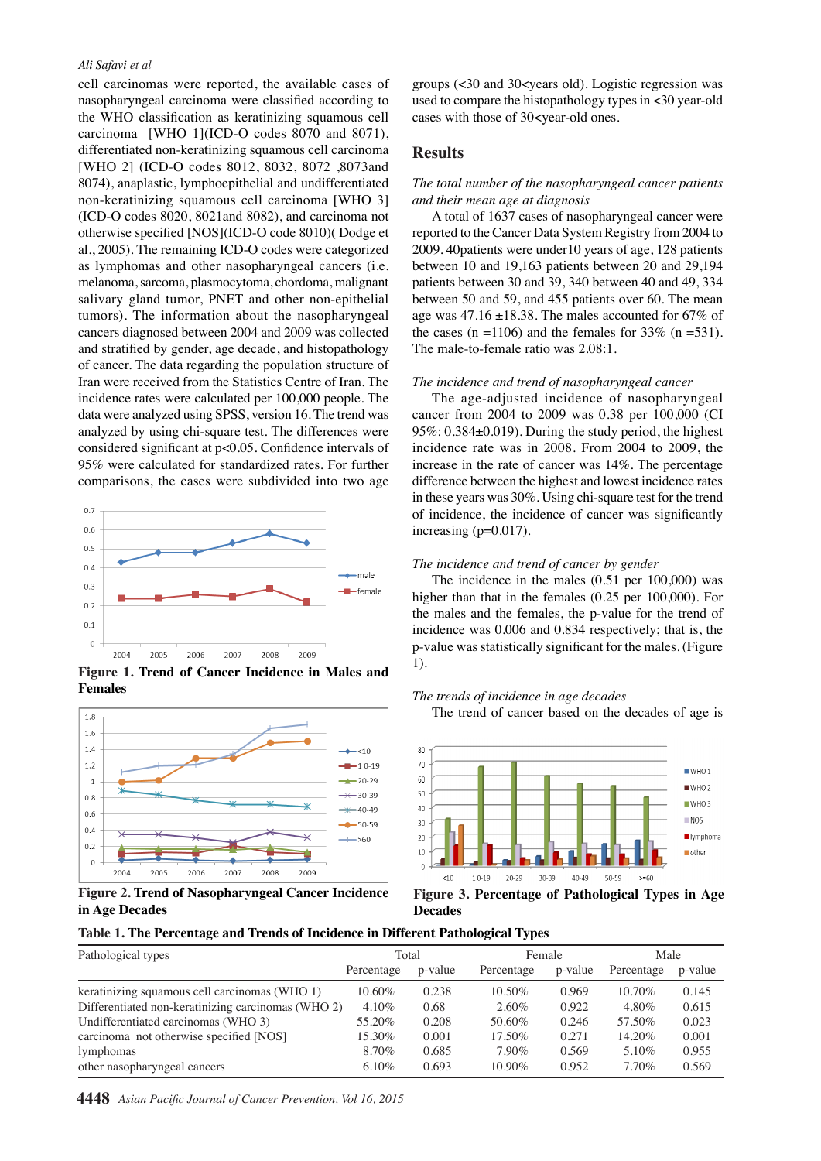## *Ali Safavi et al*

cell carcinomas were reported, the available cases of nasopharyngeal carcinoma were classified according to the WHO classification as keratinizing squamous cell carcinoma [WHO 1](ICD-O codes 8070 and 8071), differentiated non-keratinizing squamous cell carcinoma [WHO 2] (ICD-O codes 8012, 8032, 8072 ,8073and 8074), anaplastic, lymphoepithelial and undifferentiated non-keratinizing squamous cell carcinoma [WHO 3] (ICD-O codes 8020, 8021and 8082), and carcinoma not otherwise specified [NOS](ICD-O code 8010)( Dodge et al., 2005). The remaining ICD-O codes were categorized as lymphomas and other nasopharyngeal cancers (i.e. melanoma, sarcoma, plasmocytoma, chordoma, malignant salivary gland tumor, PNET and other non-epithelial tumors). The information about the nasopharyngeal cancers diagnosed between 2004 and 2009 was collected and stratified by gender, age decade, and histopathology of cancer. The data regarding the population structure of Iran were received from the Statistics Centre of Iran. The incidence rates were calculated per 100,000 people. The data were analyzed using SPSS, version 16. The trend was analyzed by using chi-square test. The differences were considered significant at p<0.05. Confidence intervals of 95% were calculated for standardized rates. For further comparisons, the cases were subdivided into two age



**Figure 1. Trend of Cancer Incidence in Males and Females** 



**Figure 2. Trend of Nasopharyngeal Cancer Incidence in Age Decades** 

groups (<30 and 30<years old). Logistic regression was used to compare the histopathology types in <30 year-old cases with those of 30<year-old ones.

## **Results**

## *The total number of the nasopharyngeal cancer patients and their mean age at diagnosis*

A total of 1637 cases of nasopharyngeal cancer were reported to the Cancer Data System Registry from 2004 to 2009. 40patients were under10 years of age, 128 patients between 10 and 19,163 patients between 20 and 29,194 patients between 30 and 39, 340 between 40 and 49, 334 between 50 and 59, and 455 patients over 60. The mean age was  $47.16 \pm 18.38$ . The males accounted for 67% of the cases (n =1106) and the females for  $33\%$  (n =531). The male-to-female ratio was 2.08:1.

### *The incidence and trend of nasopharyngeal cancer*

The age-adjusted incidence of nasopharyngeal cancer from 2004 to 2009 was 0.38 per 100,000 (CI 95%: 0.384±0.019). During the study period, the highest incidence rate was in 2008. From 2004 to 2009, the increase in the rate of cancer was 14%. The percentage difference between the highest and lowest incidence rates in these years was 30%. Using chi-square test for the trend of incidence, the incidence of cancer was significantly increasing (p=0.017).

### *The incidence and trend of cancer by gender*

The incidence in the males (0.51 per 100,000) was higher than that in the females (0.25 per 100,000). For the males and the females, the p-value for the trend of incidence was 0.006 and 0.834 respectively; that is, the p-value was statistically significant for the males. (Figure 1).

#### *The trends of incidence in age decades*

The trend of cancer based on the decades of age is



**Figure 3. Percentage of Pathological Types in Age Decades** 

## **Table 1. The Percentage and Trends of Incidence in Different Pathological Types**

| Pathological types                                 | Total      |         | Female     |         | Male       |         |
|----------------------------------------------------|------------|---------|------------|---------|------------|---------|
|                                                    | Percentage | p-value | Percentage | p-value | Percentage | p-value |
| keratinizing squamous cell carcinomas (WHO 1)      | $10.60\%$  | 0.238   | 10.50%     | 0.969   | $10.70\%$  | 0.145   |
| Differentiated non-keratinizing carcinomas (WHO 2) | $4.10\%$   | 0.68    | 2.60%      | 0.922   | 4.80%      | 0.615   |
| Undifferentiated carcinomas (WHO 3)                | 55.20%     | 0.208   | 50.60%     | 0.246   | 57.50%     | 0.023   |
| carcinoma not otherwise specified [NOS]            | 15.30%     | 0.001   | 17.50%     | 0.271   | 14.20%     | 0.001   |
| lymphomas                                          | 8.70%      | 0.685   | $7.90\%$   | 0.569   | 5.10%      | 0.955   |
| other nasopharyngeal cancers                       | $6.10\%$   | 0.693   | $10.90\%$  | 0.952   | 7.70%      | 0.569   |

75.0

**4448** *Asian Pacific Journal of Cancer Prevention, Vol 16, 2015* 100.0



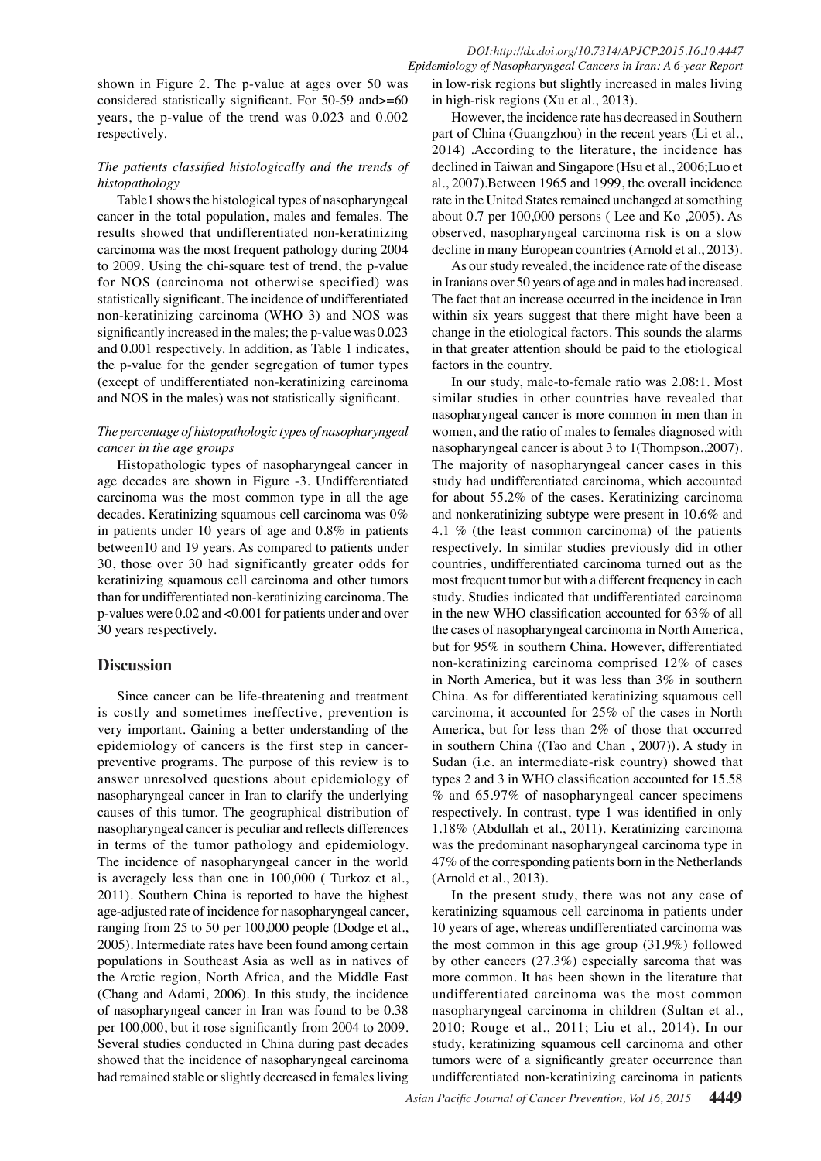# *DOI:http://dx.doi.org/10.7314/APJCP.2015.16.10.4447 Epidemiology of Nasopharyngeal Cancers in Iran: A 6-year Report*

shown in Figure 2. The p-value at ages over 50 was considered statistically significant. For 50-59 and>=60 years, the p-value of the trend was 0.023 and 0.002 respectively.

# *The patients classified histologically and the trends of histopathology*

Table1 shows the histological types of nasopharyngeal cancer in the total population, males and females. The results showed that undifferentiated non-keratinizing carcinoma was the most frequent pathology during 2004 to 2009. Using the chi-square test of trend, the p-value for NOS (carcinoma not otherwise specified) was statistically significant. The incidence of undifferentiated non-keratinizing carcinoma (WHO 3) and NOS was significantly increased in the males; the p-value was 0.023 and 0.001 respectively. In addition, as Table 1 indicates, the p-value for the gender segregation of tumor types (except of undifferentiated non-keratinizing carcinoma and NOS in the males) was not statistically significant.

# *The percentage of histopathologic types of nasopharyngeal cancer in the age groups*

Histopathologic types of nasopharyngeal cancer in age decades are shown in Figure -3. Undifferentiated carcinoma was the most common type in all the age decades. Keratinizing squamous cell carcinoma was 0% in patients under 10 years of age and 0.8% in patients between10 and 19 years. As compared to patients under 30, those over 30 had significantly greater odds for keratinizing squamous cell carcinoma and other tumors than for undifferentiated non-keratinizing carcinoma. The p-values were 0.02 and <0.001 for patients under and over 30 years respectively.

# **Discussion**

Since cancer can be life-threatening and treatment is costly and sometimes ineffective, prevention is very important. Gaining a better understanding of the epidemiology of cancers is the first step in cancerpreventive programs. The purpose of this review is to answer unresolved questions about epidemiology of nasopharyngeal cancer in Iran to clarify the underlying causes of this tumor. The geographical distribution of nasopharyngeal cancer is peculiar and reflects differences in terms of the tumor pathology and epidemiology. The incidence of nasopharyngeal cancer in the world is averagely less than one in 100,000 ( Turkoz et al., 2011). Southern China is reported to have the highest age-adjusted rate of incidence for nasopharyngeal cancer, ranging from 25 to 50 per 100,000 people (Dodge et al., 2005). Intermediate rates have been found among certain populations in Southeast Asia as well as in natives of the Arctic region, North Africa, and the Middle East (Chang and Adami, 2006). In this study, the incidence of nasopharyngeal cancer in Iran was found to be 0.38 per 100,000, but it rose significantly from 2004 to 2009. Several studies conducted in China during past decades showed that the incidence of nasopharyngeal carcinoma had remained stable or slightly decreased in females living

in low-risk regions but slightly increased in males living in high-risk regions (Xu et al., 2013).

However, the incidence rate has decreased in Southern part of China (Guangzhou) in the recent years (Li et al., 2014) .According to the literature, the incidence has declined in Taiwan and Singapore (Hsu et al., 2006;Luo et al., 2007).Between 1965 and 1999, the overall incidence rate in the United States remained unchanged at something about 0.7 per 100,000 persons ( Lee and Ko ,2005). As observed, nasopharyngeal carcinoma risk is on a slow decline in many European countries (Arnold et al., 2013).

As our study revealed, the incidence rate of the disease in Iranians over 50 years of age and in males had increased. The fact that an increase occurred in the incidence in Iran within six years suggest that there might have been a change in the etiological factors. This sounds the alarms in that greater attention should be paid to the etiological factors in the country.

In our study, male-to-female ratio was 2.08:1. Most similar studies in other countries have revealed that nasopharyngeal cancer is more common in men than in women, and the ratio of males to females diagnosed with nasopharyngeal cancer is about 3 to 1(Thompson.,2007). The majority of nasopharyngeal cancer cases in this study had undifferentiated carcinoma, which accounted for about 55.2% of the cases. Keratinizing carcinoma and nonkeratinizing subtype were present in 10.6% and 4.1 % (the least common carcinoma) of the patients respectively. In similar studies previously did in other countries, undifferentiated carcinoma turned out as the most frequent tumor but with a different frequency in each study. Studies indicated that undifferentiated carcinoma in the new WHO classification accounted for 63% of all the cases of nasopharyngeal carcinoma in North America, but for 95% in southern China. However, differentiated non-keratinizing carcinoma comprised 12% of cases in North America, but it was less than 3% in southern China. As for differentiated keratinizing squamous cell carcinoma, it accounted for 25% of the cases in North America, but for less than 2% of those that occurred in southern China ((Tao and Chan , 2007)). A study in Sudan (i.e. an intermediate-risk country) showed that types 2 and 3 in WHO classification accounted for 15.58 % and 65.97% of nasopharyngeal cancer specimens respectively. In contrast, type 1 was identified in only 1.18% (Abdullah et al., 2011). Keratinizing carcinoma was the predominant nasopharyngeal carcinoma type in 47% of the corresponding patients born in the Netherlands (Arnold et al., 2013).

In the present study, there was not any case of keratinizing squamous cell carcinoma in patients under 10 years of age, whereas undifferentiated carcinoma was the most common in this age group (31.9%) followed by other cancers (27.3%) especially sarcoma that was more common. It has been shown in the literature that undifferentiated carcinoma was the most common nasopharyngeal carcinoma in children (Sultan et al., 2010; Rouge et al., 2011; Liu et al., 2014). In our study, keratinizing squamous cell carcinoma and other tumors were of a significantly greater occurrence than undifferentiated non-keratinizing carcinoma in patients